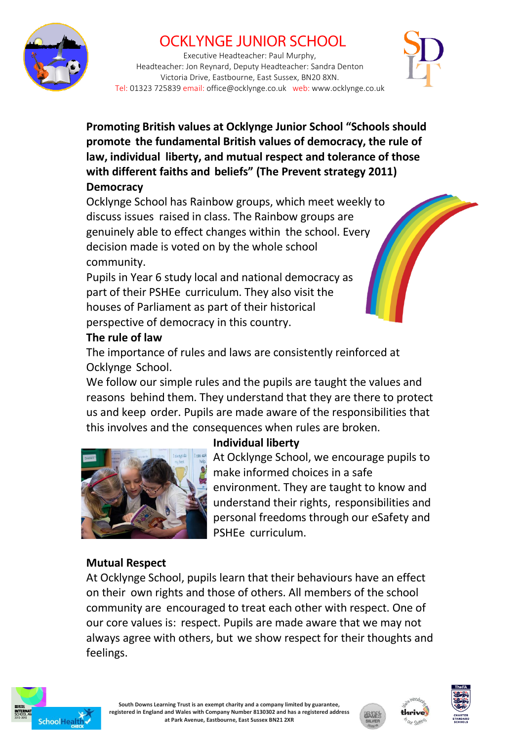

# **OCKLYNGE JUNIOR SCHOOL**

Executive Headteacher: Paul Murphy, Headteacher: Jon Reynard, Deputy Headteacher: Sandra Denton Victoria Drive, Eastbourne, East Sussex, BN20 8XN. Tel: 01323 725839 email: office@ocklynge.co.uk web: www.ocklynge.co.uk



**Promoting British values at Ocklynge Junior School "Schools should promote the fundamental British values of democracy, the rule of law, individual liberty, and mutual respect and tolerance of those with different faiths and beliefs" (The Prevent strategy 2011) Democracy**

Ocklynge School has Rainbow groups, which meet weekly to discuss issues raised in class. The Rainbow groups are genuinely able to effect changes within the school. Every decision made is voted on by the whole school community.

Pupils in Year 6 study local and national democracy as part of their PSHEe curriculum. They also visit the houses of Parliament as part of their historical perspective of democracy in this country.

### **The rule of law**

The importance of rules and laws are consistently reinforced at Ocklynge School.

We follow our simple rules and the pupils are taught the values and reasons behind them. They understand that they are there to protect us and keep order. Pupils are made aware of the responsibilities that this involves and the consequences when rules are broken.



# **Individual liberty**

At Ocklynge School, we encourage pupils to make informed choices in a safe environment. They are taught to know and understand their rights, responsibilities and personal freedoms through our eSafety and PSHEe curriculum.

## **Mutual Respect**

At Ocklynge School, pupils learn that their behaviours have an effect on their own rights and those of others. All members of the school community are encouraged to treat each other with respect. One of our core values is: respect. Pupils are made aware that we may not always agree with others, but we show respect for their thoughts and feelings.